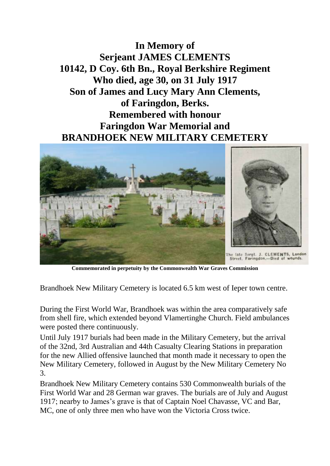**In Memory of Serjeant JAMES CLEMENTS 10142, D Coy. 6th Bn., Royal Berkshire Regiment Who died, age 30, on 31 July 1917 Son of James and Lucy Mary Ann Clements, of Faringdon, Berks. Remembered with honour Faringdon War Memorial and BRANDHOEK NEW MILITARY CEMETERY**



**Commemorated in perpetuity by the Commonwealth War Graves Commission**

Brandhoek New Military Cemetery is located 6.5 km west of Ieper town centre.

During the First World War, Brandhoek was within the area comparatively safe from shell fire, which extended beyond Vlamertinghe Church. Field ambulances were posted there continuously.

Until July 1917 burials had been made in the Military Cemetery, but the arrival of the 32nd, 3rd Australian and 44th Casualty Clearing Stations in preparation for the new Allied offensive launched that month made it necessary to open the New Military Cemetery, followed in August by the New Military Cemetery No 3.

Brandhoek New Military Cemetery contains 530 Commonwealth burials of the First World War and 28 German war graves. The burials are of July and August 1917; nearby to James's grave is that of Captain Noel Chavasse, VC and Bar, MC, one of only three men who have won the Victoria Cross twice.